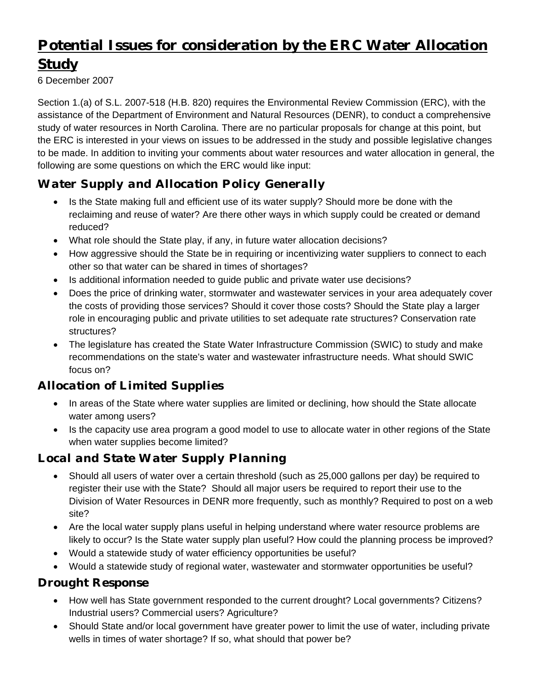# Potential Issues for consideration by the ERC Water Allocation **Study**

6 December 2007

Section 1.(a) of S.L. 2007-518 (H.B. 820) requires the Environmental Review Commission (ERC), with the assistance of the Department of Environment and Natural Resources (DENR), to conduct a comprehensive study of water resources in North Carolina. There are no particular proposals for change at this point, but the ERC is interested in your views on issues to be addressed in the study and possible legislative changes to be made. In addition to inviting your comments about water resources and water allocation in general, the following are some questions on which the ERC would like input:

## *Water Supply and Allocation Policy Generally*

- Is the State making full and efficient use of its water supply? Should more be done with the reclaiming and reuse of water? Are there other ways in which supply could be created or demand reduced?
- What role should the State play, if any, in future water allocation decisions?
- How aggressive should the State be in requiring or incentivizing water suppliers to connect to each other so that water can be shared in times of shortages?
- Is additional information needed to guide public and private water use decisions?
- Does the price of drinking water, stormwater and wastewater services in your area adequately cover the costs of providing those services? Should it cover those costs? Should the State play a larger role in encouraging public and private utilities to set adequate rate structures? Conservation rate structures?
- The legislature has created the State Water Infrastructure Commission (SWIC) to study and make recommendations on the state's water and wastewater infrastructure needs. What should SWIC focus on?

#### *Allocation of Limited Supplies*

- In areas of the State where water supplies are limited or declining, how should the State allocate water among users?
- Is the capacity use area program a good model to use to allocate water in other regions of the State when water supplies become limited?

### *Local and State Water Supply Planning*

- Should all users of water over a certain threshold (such as 25,000 gallons per day) be required to register their use with the State? Should all major users be required to report their use to the Division of Water Resources in DENR more frequently, such as monthly? Required to post on a web site?
- Are the local water supply plans useful in helping understand where water resource problems are likely to occur? Is the State water supply plan useful? How could the planning process be improved?
- Would a statewide study of water efficiency opportunities be useful?
- Would a statewide study of regional water, wastewater and stormwater opportunities be useful?

#### *Drought Response*

- How well has State government responded to the current drought? Local governments? Citizens? Industrial users? Commercial users? Agriculture?
- Should State and/or local government have greater power to limit the use of water, including private wells in times of water shortage? If so, what should that power be?